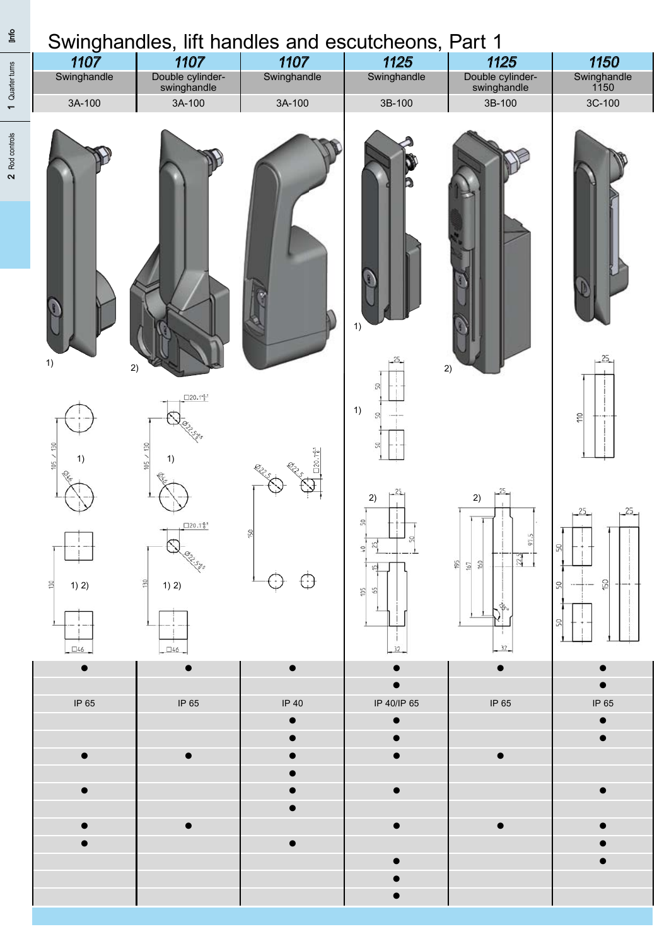|             | Swinghandles, lift handles and escutcheons, Part 1 |             |             |                                 |                     |
|-------------|----------------------------------------------------|-------------|-------------|---------------------------------|---------------------|
| 1107        | 1107                                               | 1107        | 1125        | 1125                            | 1150                |
| Swinghandle | Double cylinder-<br>swinghandle                    | Swinghandle | Swinghandle | Double cylinder-<br>swinghandle | Swinghandle<br>1150 |
| 3A-100      | 3A-100                                             | 3A-100      | 3B-100      | 3B-100                          | 3C-100              |
|             |                                                    |             |             |                                 |                     |

1 Quarter turns

1 Quarter turns

 $rac{e}{\sqrt{2}}$ 

| $2$ Rod | H<br>9<br>1)<br>$\left(\frac{1}{2}\right)$<br>1)<br>Charles R.<br>$\begin{array}{c} 1 \\ -1 \\ -1 \end{array}$                                                                                                                            | H<br>2)<br>$\frac{\Box 20.1 \, \frac{6}{3} \, \mathrm{J}}{\Box 20.1 \, \frac{6}{3} \, \mathrm{J}}$<br><b>CLERNE</b><br>1)<br><b>Collage</b><br>$\frac{\Box 20.1\frac{a}{b}}{\sqrt{22.56}}$ | w<br><b>ASSESSMENT</b><br><b>ANTI</b>                       | $\mathbf{P}$<br>$\Theta$<br>1)<br>$\begin{array}{c} -25 \\ 1 \end{array}$<br>50<br>$+$<br>1)<br>SO <sub>1</sub><br>ै ∐<br>$\begin{bmatrix} -\frac{25}{1} \\ 1 \end{bmatrix}$<br>2)<br>S<br>25 | D<br>H<br>$\frac{1}{\sqrt{2}}$<br>2)<br>$\begin{bmatrix} 25 \\ 1 \end{bmatrix}$<br>2)<br>$\frac{1}{2}$ | $\mathbb{W}$<br>$\mathbb{D}$<br>$-25$<br>$rac{1}{2}$<br>$\rightarrow$<br>$-25$<br>$-25$ |  |
|---------|-------------------------------------------------------------------------------------------------------------------------------------------------------------------------------------------------------------------------------------------|--------------------------------------------------------------------------------------------------------------------------------------------------------------------------------------------|-------------------------------------------------------------|-----------------------------------------------------------------------------------------------------------------------------------------------------------------------------------------------|--------------------------------------------------------------------------------------------------------|-----------------------------------------------------------------------------------------|--|
|         | 1) 2)<br>위<br>$\begin{tabular}{ c c } \hline \quad \quad & \quad \quad \\ \hline \quad \quad & \quad \quad \\ \hline \quad \quad & \quad \quad \\ \hline \quad \quad \\ \hline \quad \quad \\ \hline \quad \quad \\ \hline \end{tabular}$ | $\frac{50}{2}$<br>1) 2)<br>$\begin{array}{c c}\n-1 & -1 \\ \hline\n\vdots & \n\end{array}$                                                                                                 | $\overleftrightarrow{\mathbb{G}}$<br>$\overline{\bigoplus}$ | $\overline{a}$<br>$\frac{105}{65}$<br>$\overline{1}$<br>$\frac{1}{32}$                                                                                                                        | $\frac{195}{167}$<br>Ξĩ,<br>$-32$                                                                      | S)<br>-<br>$+ -$<br>ட்ட<br>ட்ட                                                          |  |
|         | $\bullet$                                                                                                                                                                                                                                 | $\bullet$                                                                                                                                                                                  | $\bullet$                                                   | $\bullet$<br>$\bullet$                                                                                                                                                                        | $\bullet$                                                                                              | $\bullet$<br>$\bullet$                                                                  |  |
|         | IP 65                                                                                                                                                                                                                                     | IP 65                                                                                                                                                                                      | IP 40                                                       | IP 40/IP 65                                                                                                                                                                                   | IP 65                                                                                                  | IP 65                                                                                   |  |
|         |                                                                                                                                                                                                                                           |                                                                                                                                                                                            | $\bullet$<br>$\bullet$                                      | $\bullet$<br>$\bullet$                                                                                                                                                                        |                                                                                                        | $\bullet$<br>$\bullet$                                                                  |  |
|         | $\bullet$                                                                                                                                                                                                                                 | $\bullet$                                                                                                                                                                                  | $\bullet$                                                   | $\bullet$                                                                                                                                                                                     | $\bullet$                                                                                              |                                                                                         |  |
|         |                                                                                                                                                                                                                                           |                                                                                                                                                                                            | $\bullet$                                                   |                                                                                                                                                                                               |                                                                                                        |                                                                                         |  |
|         |                                                                                                                                                                                                                                           |                                                                                                                                                                                            |                                                             |                                                                                                                                                                                               |                                                                                                        |                                                                                         |  |

 $\bullet$  and  $\bullet$  outside the gasketing the gasketing  $\bullet$ ● ● ● ● ● ● ● Unlocked without key ● ● Modular locking  $\bullet$  and  $\bullet$  and  $\bullet$  and  $\bullet$  and  $\bullet$  and  $\bullet$  and  $\bullet$  and  $\bullet$  and  $\bullet$  and  $\bullet$ ● ● ● Handle zinc die and escutcheon ● ● ● ● ● ● Handle and escutcheon zinc die ● Handle and escutcheon stainless steel

● Fitting escutcheons